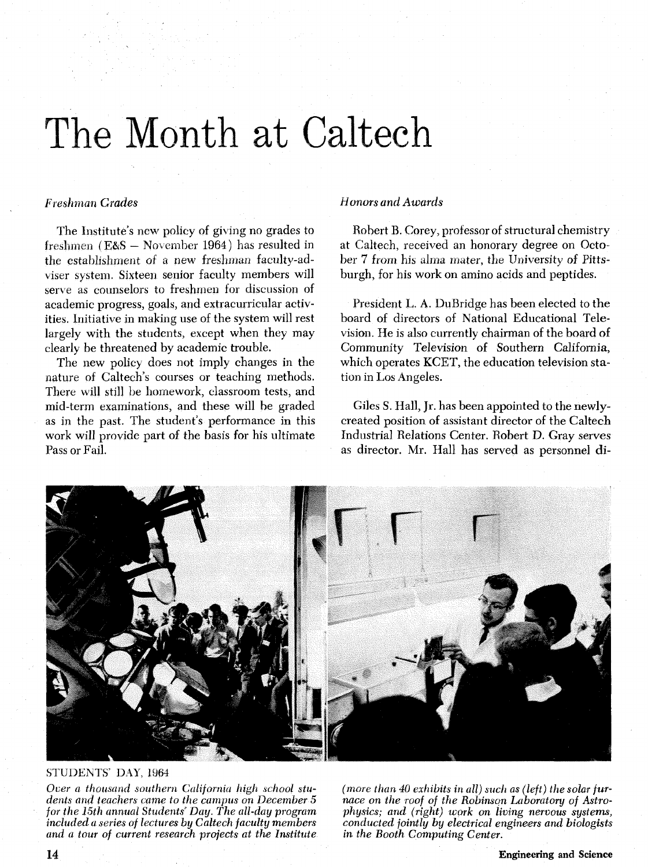## The Month at Caltech

## *Freshman Grades*

The Institute's new policy of giving no grades to freshmen ( $E & S - November 1964$ ) has resulted in the establishment of a new freshman facnliy-adviser system. Sixteen senior faculty members will serve as counselors to freshmen for discussion of academic progress, goals, and extracurricular activities. Initiative in making use of the system will rest largely with the students, except when they may clearly be threatened by academic trouble.

The new policy does not imply changes in the nature of Caltech's courses or teaching methods. There will still be homework, classroom tests, and mid-term examinations, and these will be graded as in the past. The student's performance in this work will provide part of the basis for his ultimate Pass or Fail.

## *Honors and Awards*

Robert B. Corey, professor of structural chemistry at Caltech, received an honorary degree on October 7 from his alma mater, the University of Pittsburgh, for his work on amino acids and peptides.

President L. **A.** DuBridge has been elected to the board of directors of National Educational Television. He is also currently chairman of the board of Community Television of Southern California, which operates KCET, the education television station in Los Angeles.

Giles **S.** Hall, Jr. has been appointed to the newlycreated position of assistant director of the Caltech Industrial Relations Center. Robert D. Gray serves as director. Mr. Hall has served as personnel di-



STUDENTS' DAY, 1964

Over a thousand southern California high school stu-<br>dents and teachers came to the campus on December 5 acce on the roof of the Robinson Laboratory of Astro-<br>for the 15th annual Students' Day. The all-day program physics;

included a series of lectures by Caltech faculty members conducted jointly by electrical engineers and biologists<br>and a tour of current research projects at the Institute in the Booth Computing Center.